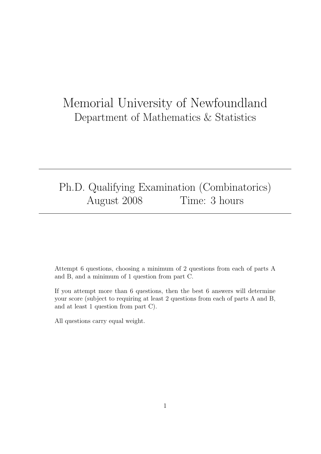# Memorial University of Newfoundland Department of Mathematics & Statistics

## Ph.D. Qualifying Examination (Combinatorics) August 2008 Time: 3 hours

Attempt 6 questions, choosing a minimum of 2 questions from each of parts A and B, and a minimum of 1 question from part C.

If you attempt more than 6 questions, then the best 6 answers will determine your score (subject to requiring at least 2 questions from each of parts A and B, and at least 1 question from part C).

All questions carry equal weight.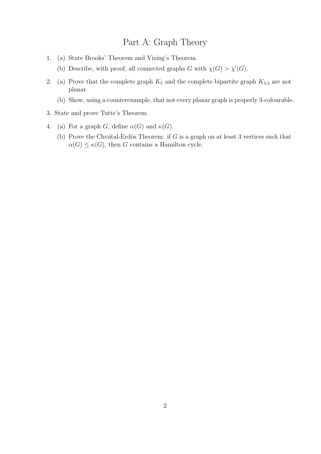## Part A: Graph Theory

- 1. (a) State Brooks' Theorem and Vizing's Theorem.
	- (b) Describe, with proof, all connected graphs G with  $\chi(G) > \chi'(G)$ .
- 2. (a) Prove that the complete graph  $K_5$  and the complete bipartite graph  $K_{3,3}$  are not planar.
	- (b) Show, using a counterexample, that not every planar graph is properly 3-colourable.
- 3. State and prove Tutte's Theorem.
- 4. (a) For a graph G, define  $\alpha(G)$  and  $\kappa(G)$ .
	- (b) Prove the Chvátal-Erdös Theorem: if  $G$  is a graph on at least 3 vertices such that  $\alpha(G) \leq \kappa(G)$ , then G contains a Hamilton cycle.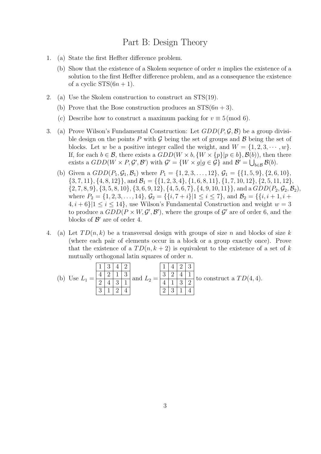#### Part B: Design Theory

- 1. (a) State the first Heffter difference problem.
	- (b) Show that the existence of a Skolem sequence of order n implies the existence of a solution to the first Heffter difference problem, and as a consequence the existence of a cyclic  $STS(6n + 1)$ .
- 2. (a) Use the Skolem construction to construct an STS(19).
	- (b) Prove that the Bose construction produces an  $STS(6n+3)$ .
	- (c) Describe how to construct a maximum packing for  $v \equiv 5 \pmod{6}$ .
- 3. (a) Prove Wilson's Fundamental Construction: Let  $GDD(P, \mathcal{G}, \mathcal{B})$  be a group divisible design on the points P with G being the set of groups and  $\beta$  being the set of blocks. Let w be a positive integer called the weight, and  $W = \{1, 2, 3, \dots, w\}.$ If, for each  $b \in \mathcal{B}$ , there exists a  $GDD(W \times b, \{W \times \{p\} | p \in b\}, \mathcal{B}(b))$ , then there exists a  $GDD(W \times P, \mathcal{G}', \mathcal{B}')$  with  $\mathcal{G}' = \{W \times g | g \in \mathcal{G}\}\$ and  $\mathcal{B}' = \bigcup_{b \in \mathcal{B}} \mathcal{B}(b)$ .
	- (b) Given a  $GDD(P_1, \mathcal{G}_1, \mathcal{B}_1)$  where  $P_1 = \{1, 2, 3, \ldots, 12\}, \mathcal{G}_1 = \{\{1, 5, 9\}, \{2, 6, 10\},\$  $\{3, 7, 11\}, \{4, 8, 12\}\}, \text{ and } \mathcal{B}_1 = \{\{1, 2, 3, 4\}, \{1, 6, 8, 11\}, \{1, 7, 10, 12\}, \{2, 5, 11, 12\}, \{3, 11, 12\}\}$  $\{2, 7, 8, 9\}, \{3, 5, 8, 10\}, \{3, 6, 9, 12\}, \{4, 5, 6, 7\}, \{4, 9, 10, 11\}\},$  and a  $GDD(P_2, \mathcal{G}_2, \mathcal{B}_2)$ , where  $P_2 = \{1, 2, 3, \ldots, 14\}, \mathcal{G}_2 = \{\{i, 7 + i\} | 1 \le i \le 7\}, \text{ and } \mathcal{B}_2 = \{\{i, i + 1, i + 7 + i\} | 1 \le i \le 7\}$  $\{4, i+6\}$ | $1 \le i \le 14$ , use Wilson's Fundamental Construction and weight  $w = 3$ to produce a  $GDD(P \times W, \mathcal{G}', \mathcal{B}')$ , where the groups of  $\mathcal{G}'$  are of order 6, and the blocks of  $\mathcal{B}'$  are of order 4.
- 4. (a) Let  $TD(n, k)$  be a transversal design with groups of size n and blocks of size k (where each pair of elements occur in a block or a group exactly once). Prove that the existence of a  $TD(n, k+2)$  is equivalent to the existence of a set of k mutually orthogonal latin squares of order n.

(b) Use L<sup>1</sup> = 1 3 4 2 4 2 1 3 2 4 3 1 3 1 2 4 and L<sup>2</sup> = 1 4 2 3 3 2 4 1 4 1 3 2 2 3 1 4 to construct a T D(4, 4).